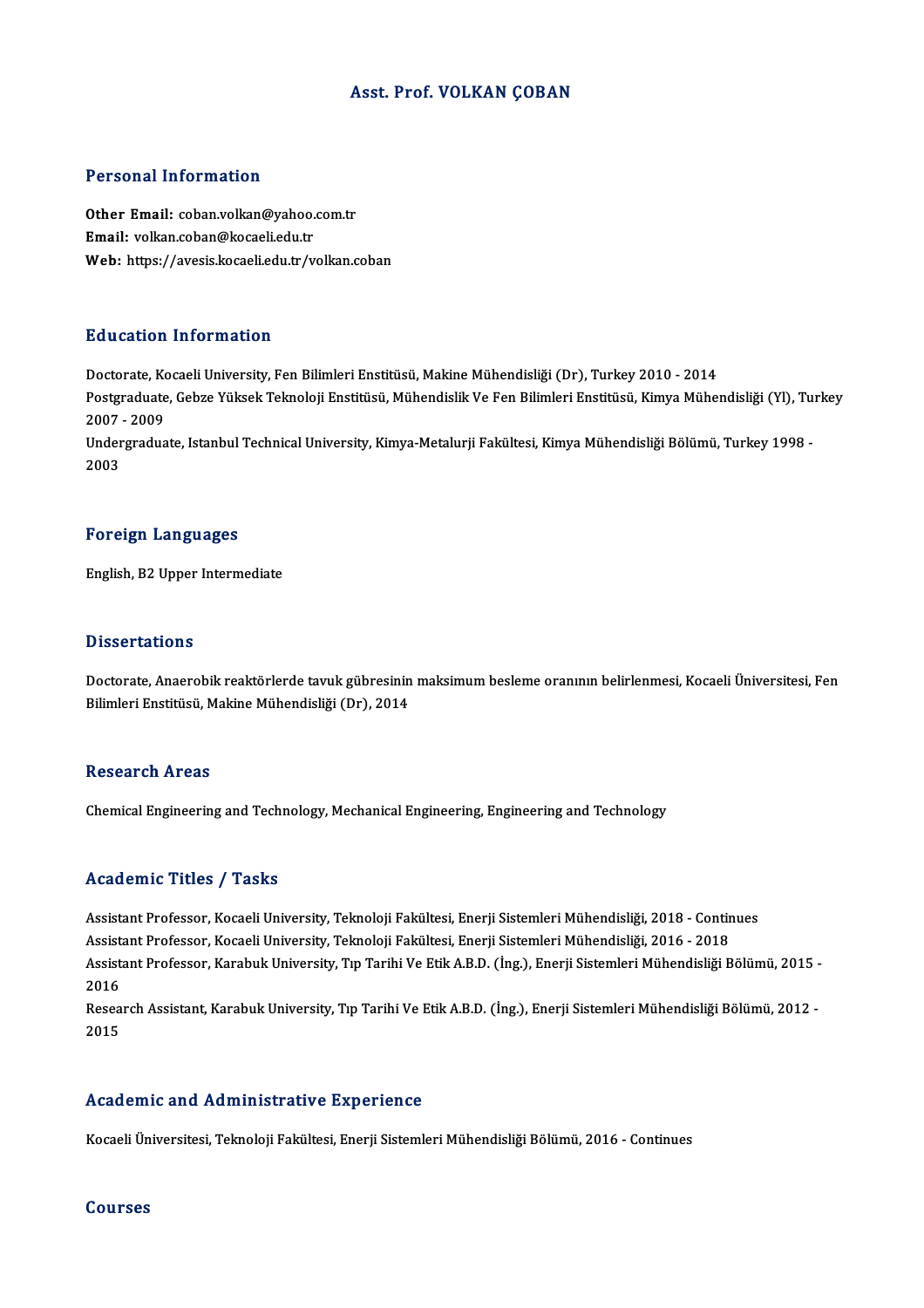#### Asst. Prof. VOLKAN ÇOBAN

#### Personal Information

Personal Information<br>Other Email: coban.volkan@yahoo.com.tr<br>Email: volkan@kogaliodu.tr en on oo nee ama macron<br>Other Email: coban.volkan@yahoo.<br>Email: volkan.coban@kocaeli.edu.tr<br>Web: https://avesis.kosaeli.edu.tr/v Email: volkan.coban@kocaeli.edu.tr<br>Web: https://avesis.kocaeli.edu.tr/volkan.coban

#### Education Information

Doctorate, Kocaeli University, Fen Bilimleri Enstitüsü, Makine Mühendisliği (Dr), Turkey 2010 - 2014 Pu u oderon Tirrof Inderon<br>Doctorate, Kocaeli University, Fen Bilimleri Enstitüsü, Makine Mühendisliği (Dr), Turkey 2010 - 2014<br>Postgraduate, Gebze Yüksek Teknoloji Enstitüsü, Mühendislik Ve Fen Bilimleri Enstitüsü, Kimya Doctorate, Ko<br>Postgraduate<br>2007 - 2009<br>Undergradua Postgraduate, Gebze Yüksek Teknoloji Enstitüsü, Mühendislik Ve Fen Bilimleri Enstitüsü, Kimya Mühendisliği (Yl), Tu<br>2007 - 2009<br>Undergraduate, Istanbul Technical University, Kimya-Metalurji Fakültesi, Kimya Mühendisliği Bö 2007 - 2009<br>Undergraduate, Istanbul Technical University, Kimya-Metalurji Fakültesi, Kimya Mühendisliği Bölümü, Turkey 1998<br>2003

#### Foreign Languages

English,B2Upper Intermediate

#### **Dissertations**

Dissertations<br>Doctorate, Anaerobik reaktörlerde tavuk gübresinin maksimum besleme oranının belirlenmesi, Kocaeli Üniversitesi, Fen<br>Bilimleri Enstitüsü, Makine Mühendisliği (Dr.), 2014 Bilbool talilome<br>Doctorate, Anaerobik reaktörlerde tavuk gübresinin<br>Bilimleri Enstitüsü, Makine Mühendisliği (Dr), 2014 Bilimleri Enstitüsü, Makine Mühendisliği (Dr), 2014<br>Research Areas

Chemical Engineering and Technology, Mechanical Engineering, Engineering and Technology

#### Academic Titles / Tasks

Academic Titles / Tasks<br>Assistant Professor, Kocaeli University, Teknoloji Fakültesi, Enerji Sistemleri Mühendisliği, 2018 - Continues<br>Assistant Professor, Kocaeli University, Teknoloji Fakültesi, Enerji Sistemleri Mühendi Assistant Professor, Kocaeli University, Teknoloji Fakültesi, Enerji Sistemleri Mühendisliği, 2018 - Contin<br>Assistant Professor, Kocaeli University, Teknoloji Fakültesi, Enerji Sistemleri Mühendisliği, 2016 - 2018<br>Assistan Assistant Professor, Karabuk University, Tıp Tarihi Ve Etik A.B.D. (İng.), Enerji Sistemleri Mühendisliği Bölümü, 2015 -<br>2016 Assistant Professor, Kocaeli University, Teknoloji Fakültesi, Enerji Sistemleri Mühendisliği, 2016 - 2018 Assistant Professor, Karabuk University, Tıp Tarihi Ve Etik A.B.D. (İng.), Enerji Sistemleri Mühendisliği Bölümü, 2015 -<br>2016<br>Research Assistant, Karabuk University, Tıp Tarihi Ve Etik A.B.D. (İng.), Enerji Sistemleri Mühe

2016<br>Resea<br>2015

# Academic and Administrative Experience

Kocaeli Üniversitesi, Teknoloji Fakültesi, Enerji Sistemleri Mühendisliği Bölümü, 2016 - Continues

#### Courses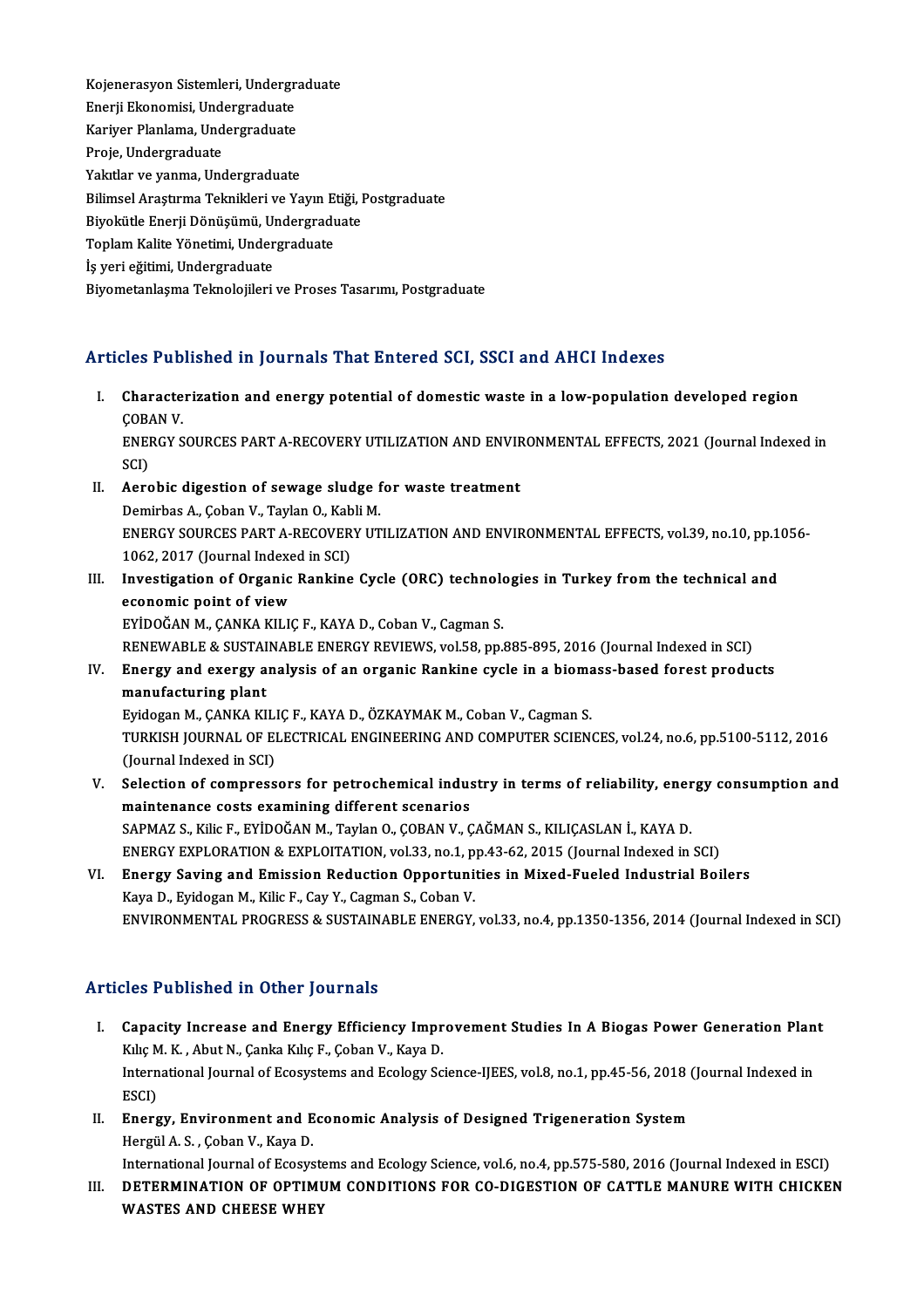Kojenerasyon Sistemleri, Undergraduate<br>Enerii Ekonomisi, Undergraduate Kojenerasyon Sistemleri, Undergr<br>Enerji Ekonomisi, Undergraduate<br>Kariyar Planlama, Undergraduate Kojenerasyon Sistemleri, Undergra<br>Enerji Ekonomisi, Undergraduate<br>Kariyer Planlama, Undergraduate<br>Preje, Undergraduate Enerji Ekonomisi, Undergraduate<br>Kariyer Planlama, Undergraduate<br>Proje, Undergraduate Yakıtlar ve yanma, Undergraduate Proje, Undergraduate<br>Yakıtlar ve yanma, Undergraduate<br>Bilimsel Araştırma Teknikleri ve Yayın Etiği, Postgraduate<br>Bivokütle Enerii Dönüsümü, Undergraduate Yakıtlar ve yanma, Undergraduate<br>Bilimsel Araştırma Teknikleri ve Yayın Etiği, I<br>Biyokütle Enerji Dönüşümü, Undergraduate<br>Tenlam Kalite Yönetimi, Undergraduate Bilimsel Araştırma Teknikleri ve Yayın E<br>Biyokütle Enerji Dönüşümü, Undergradı<br>Toplam Kalite Yönetimi, Undergraduate<br>İs veri eğitimi, Undergraduate Biyokütle Enerji Dönüşümü, Ul<br>Toplam Kalite Yönetimi, Under<br>İş yeri eğitimi, Undergraduate<br>Biyometarlasma Telmolojileri Toplam Kalite Yönetimi, Undergraduate<br>İş yeri eğitimi, Undergraduate<br>Biyometanlaşma Teknolojileri ve Proses Tasarımı, Postgraduate

## Articles Published in Journals That Entered SCI, SSCI and AHCI Indexes

- rticles Published in Journals That Entered SCI, SSCI and AHCI Indexes<br>I. Characterization and energy potential of domestic waste in a low-population developed region Characte<br>Characte<br>COBAN V. Characterization and energy potential of domestic waste in a low-population developed region<br>ÇOBAN V.<br>ENERGY SOURCES PART A-RECOVERY UTILIZATION AND ENVIRONMENTAL EFFECTS, 2021 (Journal Indexed in<br>SCD COBA<br>ENEI<br>SCI)<br>Aore ENERGY SOURCES PART A-RECOVERY UTILIZATION AND ENVIF<br>SCI)<br>II. Aerobic digestion of sewage sludge for waste treatment<br>Demirbes A. Coban V. Taylan O. Kabli M.
- SCI)<br>II. Aerobic digestion of sewage sludge for waste treatment<br>Demirbas A., Coban V., Taylan O., Kabli M. Aerobic digestion of sewage sludge for waste treatment<br>Demirbas A., Çoban V., Taylan O., Kabli M.<br>ENERGY SOURCES PART A-RECOVERY UTILIZATION AND ENVIRONMENTAL EFFECTS, vol.39, no.10, pp.1056-<br>1062-2017 (Journal Indoved in Demirbas A., Çoban V., Taylan O., Kab<br>ENERGY SOURCES PART A-RECOVER<br>1062, 2017 (Journal Indexed in SCI)<br>Investigation of Organic Bankine ENERGY SOURCES PART A-RECOVERY UTILIZATION AND ENVIRONMENTAL EFFECTS, vol.39, no.10, pp.1 1062, 2017 (Journal Indexed in SCI)<br>III. Investigation of Organic Rankine Cycle (ORC) technologies in Turkey from the technical and<br>
- 1062, 2017 (Journal Indexe<br>Investigation of Organic<br>economic point of view<br>EVIDOČAN M. CANKA KU K Investigation of Organic Rankine Cycle (ORC) technolo<br>economic point of view<br>EYİDOĞAN M., ÇANKA KILIÇ F., KAYA D., Coban V., Cagman S.<br>PENEWAPLE 8. SUSTAINAPLE ENERCY PEVIEWS .val59. pp. economic point of view<br>EYİDOĞAN M., ÇANKA KILIÇ F., KAYA D., Coban V., Cagman S.<br>RENEWABLE & SUSTAINABLE ENERGY REVIEWS, vol.58, pp.885-895, 2016 (Journal Indexed in SCI)<br>Energy and exergy analysis of an exganis Bankine sy

## EYİDOĞAN M., ÇANKA KILIÇ F., KAYA D., Coban V., Cagman S.<br>RENEWABLE & SUSTAINABLE ENERGY REVIEWS, vol.58, pp.885-895, 2016 (Journal Indexed in SCI)<br>IV. Energy and exergy analysis of an organic Rankine cycle in a biomass-ba RENEWABLE & SUSTAI<br>Energy and exergy a<br>manufacturing plant<br>Eudesen M. CANKA KL Energy and exergy analysis of an organic Rankine cycle in a bioma<br>manufacturing plant<br>Eyidogan M., ÇANKA KILIÇ F., KAYA D., ÖZKAYMAK M., Coban V., Cagman S.<br>TURKISH JOURNAL OF ELECTRICAL ENCINEERING AND COMPUTER SCIEN: manufacturing plant<br>Eyidogan M., ÇANKA KILIÇ F., KAYA D., ÖZKAYMAK M., Coban V., Cagman S.<br>TURKISH JOURNAL OF ELECTRICAL ENGINEERING AND COMPUTER SCIENCES, vol.24, no.6, pp.5100-5112, 2016<br>(Jaunnal Indoved in SCL) Eyidogan M., ÇANKA KILI<br>TURKISH JOURNAL OF EI<br>(Journal Indexed in SCI)<br>Selection of compress TURKISH JOURNAL OF ELECTRICAL ENGINEERING AND COMPUTER SCIENCES, vol.24, no.6, pp.5100-5112, 2016<br>(Journal Indexed in SCI)<br>V. Selection of compressors for petrochemical industry in terms of reliability, energy consumption

- (Journal Indexed in SCI)<br>Selection of compressors for petrochemical indus<br>maintenance costs examining different scenarios<br>SARMAZ S. Kike E. EVIDOČAN M. Taylan O. CORAN V. C Selection of compressors for petrochemical industry in terms of reliability, ener<br>maintenance costs examining different scenarios<br>SAPMAZ S., Kilic F., EYİDOĞAN M., Taylan O., ÇOBAN V., ÇAĞMAN S., KILIÇASLAN İ., KAYA D.<br>ENE maintenance costs examining different scenarios<br>SAPMAZ S., Kilic F., EYİDOĞAN M., Taylan O., ÇOBAN V., ÇAĞMAN S., KILIÇASLAN İ., KAYA D.<br>ENERGY EXPLORATION & EXPLOITATION, vol.33, no.1, pp.43-62, 2015 (Journal Indexed in S SAPMAZ S., Kilic F., EYİDOĞAN M., Taylan O., ÇOBAN V., ÇAĞMAN S., KILIÇASLAN İ., KAYA D.<br>ENERGY EXPLORATION & EXPLOITATION, vol.33, no.1, pp.43-62, 2015 (Journal Indexed in SCI)<br>VI. Energy Saving and Emission Reduction Opp
- ENERGY EXPLORATION & EXPLOITATION, vol.33, no.1, p<br>Energy Saving and Emission Reduction Opportuni<br>Kaya D., Eyidogan M., Kilic F., Cay Y., Cagman S., Coban V.<br>ENVIRONMENTAL PROCRESS & SUSTAINARLE ENERCY ENVIRONMENTAL PROGRESS & SUSTAINABLE ENERGY, vol.33, no.4, pp.1350-1356, 2014 (Journal Indexed in SCI)

## Articles Published in Other Journals

- rticles Published in Other Journals<br>I. Capacity Increase and Energy Efficiency Improvement Studies In A Biogas Power Generation Plant<br>Kike M. K. Abut N. Capke Kike E. Coban V. Kaye D. XIII.<br>Capacity Increase and Energy Efficiency Impr<br>Kılıç M. K. , Abut N., Çanka Kılıç F., Çoban V., Kaya D.<br>International Journal of Essexutoms and Esslow Se Capacity Increase and Energy Efficiency Improvement Studies In A Biogas Power Generation Plan<br>Kılıç M. K. , Abut N., Çanka Kılıç F., Çoban V., Kaya D.<br>International Journal of Ecosystems and Ecology Science-IJEES, vol.8, n Kılıç M. K. , Abut N., Çanka Kılıç F., Çoban V., Kaya D.<br>International Journal of Ecosystems and Ecology Science-IJEES, vol.8, no.1, pp.45-56, 2018 (Journal Indexed in<br>ESCI) International Journal of Ecosystems and Ecology Science-IJEES, vol.8, no.1, pp.45-56, 2018 (<br>ESCI)<br>II. Energy, Environment and Economic Analysis of Designed Trigeneration System<br>Hargil A.S. Coban V. Kare D.
- ESCI)<br><mark>Energy, Environment and E</mark><br>Hergül A. S. , Çoban V., Kaya D.<br>International Journal of Esseve Energy, Environment and Economic Analysis of Designed Trigeneration System<br>Hergül A. S. , Çoban V., Kaya D.<br>International Journal of Ecosystems and Ecology Science, vol.6, no.4, pp.575-580, 2016 (Journal Indexed in ESCI)<br>D

Hergül A. S. , Çoban V., Kaya D.<br>International Journal of Ecosystems and Ecology Science, vol.6, no.4, pp.575-580, 2016 (Journal Indexed in ESCI)<br>III. DETERMINATION OF OPTIMUM CONDITIONS FOR CO-DIGESTION OF CATTLE MANU International Journal of Ecosyste<br>DETERMINATION OF OPTIMI<br>WASTES AND CHEESE WHEY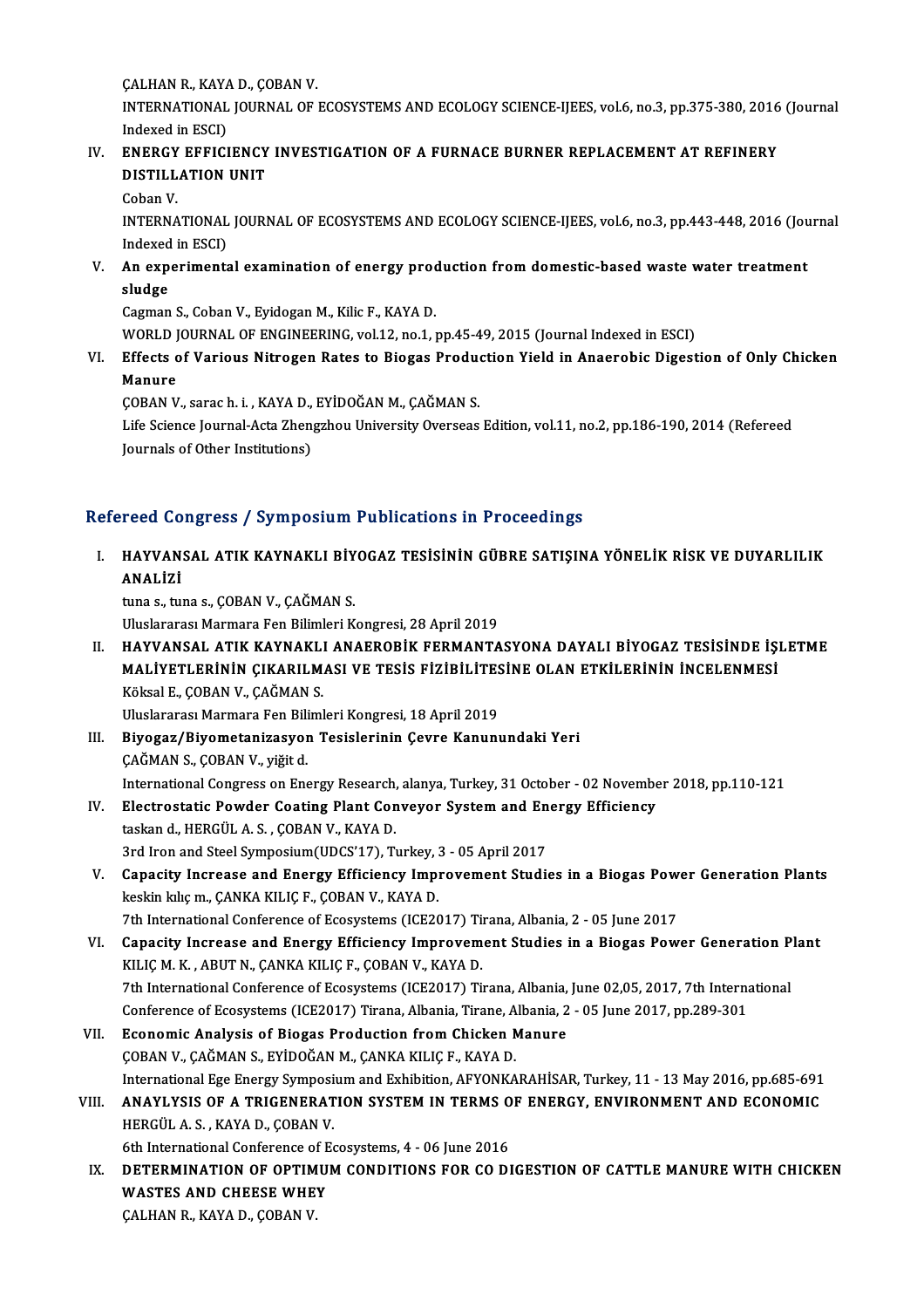ÇALHANR., KAYAD., ÇOBANV.

ÇALHAN R., KAYA D., ÇOBAN V.<br>INTERNATIONAL JOURNAL OF ECOSYSTEMS AND ECOLOGY SCIENCE-IJEES, vol.6, no.3, pp.375-380, 2016 (Journal CALHAN R., KAYA<br>INTERNATIONAL<br>Indexed in ESCI)<br>ENERCY EEEICI INTERNATIONAL JOURNAL OF ECOSYSTEMS AND ECOLOGY SCIENCE-IJEES, vol.6, no.3, pp.375-380, 2016<br>Indexed in ESCI)<br>IV. ENERGY EFFICIENCY INVESTIGATION OF A FURNACE BURNER REPLACEMENT AT REFINERY<br>DISTILLATION UNIT

- Indexed in ESCI)<br>IV. ENERGY EFFICIENCY INVESTIGATION OF A FURNACE BURNER REPLACEMENT AT REFINERY<br>DISTILLATION UNIT
	- CobanV.

DISTILLATION UNIT<br>Coban V.<br>INTERNATIONAL JOURNAL OF ECOSYSTEMS AND ECOLOGY SCIENCE-IJEES, vol.6, no.3, pp.443-448, 2016 (Journal<br>Indoved in ESCD Coban V.<br>INTERNATIONAL<br>Indexed in ESCI)<br>An experiments INTERNATIONAL JOURNAL OF ECOSYSTEMS AND ECOLOGY SCIENCE-IJEES, vol.6, no.3, pp.443-448, 2016 (Jou<br>Indexed in ESCI)<br>V. An experimental examination of energy production from domestic-based waste water treatment<br>cludge

Indexed<br>An exp<br>sludge<br>German An experimental examination of energy proce<br>sludge<br>Cagman S., Coban V., Eyidogan M., Kilic F., KAYA D.<br>WORLD JOURNAL OF ENCINEERING .vol.1.2, no.1..

sludge<br>Cagman S., Coban V., Eyidogan M., Kilic F., KAYA D.<br>WORLD JOURNAL OF ENGINEERING, vol.12, no.1, pp.45-49, 2015 (Journal Indexed in ESCI)

Cagman S., Coban V., Eyidogan M., Kilic F., KAYA D.<br>WORLD JOURNAL OF ENGINEERING, vol.12, no.1, pp.45-49, 2015 (Journal Indexed in ESCI)<br>VI. Effects of Various Nitrogen Rates to Biogas Production Yield in Anaerobic Digesti WORLD J<br>Effects c<br>Manure<br>CORAN V Effects of Various Nitrogen Rates to Biogas Produe<br>Manure<br>ÇOBAN V., sarac h. i. , KAYA D., EYİDOĞAN M., ÇAĞMAN S.<br>Life Science Journal Acta Zhongrhou University Overseas

Manure<br>ÇOBAN V., sarac h. i. , KAYA D., EYİDOĞAN M., ÇAĞMAN S.<br>Life Science Journal-Acta Zhengzhou University Overseas Edition, vol.11, no.2, pp.186-190, 2014 (Refereed<br>Journals of Other Institutions) ÇOBAN V., sarac h. i. , KAYA D.,<br>Life Science Journal-Acta Zhen<sub>i</sub><br>Journals of Other Institutions)

#### Refereed Congress / Symposium Publications in Proceedings

# efereed Congress / Symposium Publications in Proceedings<br>I. HAYVANSAL ATIK KAYNAKLI BİYOGAZ TESİSİNİN GÜBRE SATIŞINA YÖNELİK RİSK VE DUYARLILIK<br>ANALİZİ HAYVAN<br>HAYVAN<br>ANALİZİ HAYVANSAL ATIK KAYNAKLI BİY<br>ANALİZİ<br>tuna s., tuna s., ÇOBAN V., ÇAĞMAN S.<br>Uluslararası Marmara Fan Bilimlari K

ANALİZİ<br>tuna s., tuna s., ÇOBAN V., ÇAĞMAN S.<br>Uluslararası Marmara Fen Bilimleri Kongresi, 28 April 2019

II. HAYVANSAL ATIK KAYNAKLI ANAEROBİK FERMANTASYONA DAYALI BİYOGAZ TESİSİNDE İSLETME Uluslararası Marmara Fen Bilimleri Kongresi, 28 April 2019<br>HAYVANSAL ATIK KAYNAKLI ANAEROBİK FERMANTASYONA DAYALI BİYOGAZ TESİSİNDE İŞI<br>MALİYETLERİNİN ÇIKARILMASI VE TESİS FİZİBİLİTESİNE OLAN ETKİLERİNİN İNCELENMESİ<br>Kökool HAYVANSAL ATIK KAYNAKLI<br>MALİYETLERİNİN ÇIKARILM.<br>Köksal E., ÇOBAN V., ÇAĞMAN S.<br>Uluslararası Marmara Fan Biliml MALİYETLERİNİN ÇIKARILMASI VE TESİS FİZİBİLİTES<br>Köksal E., ÇOBAN V., ÇAĞMAN S.<br>Uluslararası Marmara Fen Bilimleri Kongresi, 18 April 2019<br>Biyogaz (Biyomatanizosyon Tesislerinin Coyre Kanun) Köksal E., ÇOBAN V., ÇAĞMAN S.<br>Uluslararası Marmara Fen Bilimleri Kongresi, 18 April 2019<br>III. Biyogaz/Biyometanizasyon Tesislerinin Çevre Kanunundaki Yeri

- Uluslararası Marmara Fen Bili<br><mark>Biyogaz/Biyometanizasyor</mark><br>ÇAĞMAN S., ÇOBAN V., yiğit d.<br>International Congress on Ens CAĞMAN S., ÇOBAN V., yiğit d.<br>International Congress on Energy Research, alanya, Turkey, 31 October - 02 November 2018, pp.110-121 CAĞMAN S., ÇOBAN V., yiğit d.<br>International Congress on Energy Research, alanya, Turkey, 31 October - 02 Novembe<br>IV. Electrostatic Powder Coating Plant Conveyor System and Energy Efficiency<br>togland HERGÜLA S. COBAN V. KAYA
- International Congress on Energy Research,<br>Electrostatic Powder Coating Plant Con<br>taskan d., HERGÜL A. S. , ÇOBAN V., KAYA D.<br><sup>2nd Inon and Steel Sumnosium(UDCS'17).</sup> T. Electrostatic Powder Coating Plant Conveyor System and Entaskan d., HERGÜL A. S. , ÇOBAN V., KAYA D.<br>3rd Iron and Steel Symposium(UDCS'17), Turkey, 3 - 05 April 2017<br>Conseity Increase and Energy Efficiency Improvement Stud
- taskan d., HERGÜL A. S. , ÇOBAN V., KAYA D.<br>3rd Iron and Steel Symposium(UDCS'17), Turkey, 3 05 April 2017<br>V. Capacity Increase and Energy Efficiency Improvement Studies in a Biogas Power Generation Plants<br>lockin kks m. 3rd Iron and Steel Symposium(UDCS'17), Turkey, 3<br>Capacity Increase and Energy Efficiency Impleskin kiliç m., ÇANKA KILIÇ F., ÇOBAN V., KAYA D.<br>7th International Conference of Ecoustems (ICE20) Capacity Increase and Energy Efficiency Improvement Studies in a Biogas Pow<br>keskin kılıç m., ÇANKA KILIÇ F., ÇOBAN V., KAYA D.<br>7th International Conference of Ecosystems (ICE2017) Tirana, Albania, 2 - 05 June 2017<br>Capacity keskin kılıç m., ÇANKA KILIÇ F., ÇOBAN V., KAYA D.<br>7th International Conference of Ecosystems (ICE2017) Tirana, Albania, 2 - 05 June 2017<br>7. Capacity Increase and Energy Efficiency Improvement Studies in a Biogas Power Gen
- 7th International Conference of Ecosystems (ICE2017) Tirana, Albania, 2 05 June 2017<br>Capacity Increase and Energy Efficiency Improvement Studies in a Biogas Pow<br>KILIÇ M. K., ABUT N., ÇANKA KILIÇ F., ÇOBAN V., KAYA D. Capacity Increase and Energy Efficiency Improvement Studies in a Biogas Power Generation P<br>KILIÇ M. K., ABUT N., ÇANKA KILIÇ F., ÇOBAN V., KAYA D.<br>7th International Conference of Ecosystems (ICE2017) Tirana, Albania, June KILIÇ M. K. , ABUT N., ÇANKA KILIÇ F., ÇOBAN V., KAYA D.<br>7th International Conference of Ecosystems (ICE2017) Tirana, Albania, June 02,05, 2017, 7th Interna<br>Conference of Ecosystems (ICE2017) Tirana, Albania, Tirane, Alban 7th International Conference of Ecosystems (ICE2017) Tirana, Albania, Conference of Ecosystems (ICE2017) Tirana, Albania, Tirane, Albania, 2<br>VII. Economic Analysis of Biogas Production from Chicken Manure<br>COPAN V. CAČMAN S
- Conference of Ecosystems (ICE2017) Tirana, Albania, Tirane, Albania, 2 05 June 2017, pp.289-301<br>Economic Analysis of Biogas Production from Chicken Manure<br>COBAN V., ÇAĞMAN S., EYİDOĞAN M., ÇANKA KILIÇ F., KAYA D. Economic Analysis of Biogas Production from Chicken Manure<br>ÇOBAN V., ÇAĞMAN S., EYİDOĞAN M., ÇANKA KILIÇ F., KAYA D.<br>International Ege Energy Symposium and Exhibition, AFYONKARAHİSAR, Turkey, 11 - 13 May 2016, pp.685-691<br>A COBAN V., ÇAĞMAN S., EYİDOĞAN M., ÇANKA KILIÇ F., KAYA D.<br>International Ege Energy Symposium and Exhibition, AFYONKARAHİSAR, Turkey, 11 - 13 May 2016, pp.685-691<br>VIII. ANAYLYSIS OF A TRIGENERATION SYSTEM IN TERMS OF EN
- International Ege Energy Symposi<br>ANAYLYSIS OF A TRIGENERAT<br>HERGÜL A. S. , KAYA D., ÇOBAN V.<br>Eth International Conference of Eq VIII. ANAYLYSIS OF A TRIGENERATION SYSTEM IN TERMS OF ENERGY, ENVIRONMENT AND ECONOMIC<br>HERGÜL A. S., KAYA D., COBAN V.
- IX. DETERMINATION OF OPTIMUM CONDITIONS FOR CO DIGESTION OF CATTLE MANURE WITH CHICKEN 6th International Conference of Ecosystems, 4 - 06 June 2016<br>DETERMINATION OF OPTIMUM CONDITIONS FOR CO D<br>WASTES AND CHEESE WHEY<br>CALHAN R., KAYA D., COBAN V. WASTES AND CHEESE WHEY